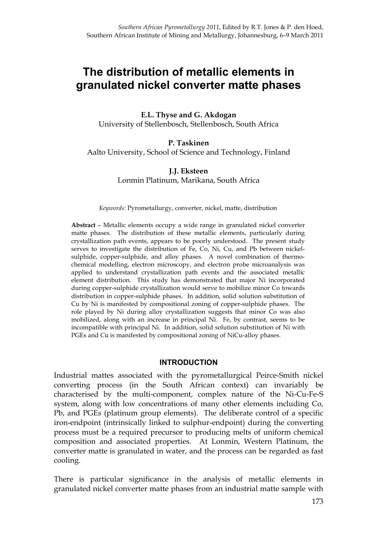# **The distribution of metallic elements in granulated nickel converter matte phases**

**E.L. Thyse and G. Akdogan**  University of Stellenbosch, Stellenbosch, South Africa

**P. Taskinen**  Aalto University, School of Science and Technology, Finland

> **J.J. Eksteen**  Lonmin Platinum, Marikana, South Africa

#### *Keywords:* Pyrometallurgy, converter, nickel, matte, distribution

**Abstract** – Metallic elements occupy a wide range in granulated nickel converter matte phases. The distribution of these metallic elements, particularly during crystallization path events, appears to be poorly understood. The present study serves to investigate the distribution of Fe, Co, Ni, Cu, and Pb between nickelsulphide, copper-sulphide, and alloy phases. A novel combination of thermochemical modelling, electron microscopy, and electron probe microanalysis was applied to understand crystallization path events and the associated metallic element distribution. This study has demonstrated that major Ni incorporated during copper-sulphide crystallization would serve to mobilize minor Co towards distribution in copper-sulphide phases. In addition, solid solution substitution of Cu by Ni is manifested by compositional zoning of copper-sulphide phases. The role played by Ni during alloy crystallization suggests that minor Co was also mobilized, along with an increase in principal Ni. Fe, by contrast, seems to be incompatible with principal Ni. In addition, solid solution substitution of Ni with PGEs and Cu is manifested by compositional zoning of NiCu-alloy phases.

#### **INTRODUCTION**

Industrial mattes associated with the pyrometallurgical Peirce-Smith nickel converting process (in the South African context) can invariably be characterised by the multi-component, complex nature of the Ni-Cu-Fe-S system, along with low concentrations of many other elements including Co, Pb, and PGEs (platinum group elements). The deliberate control of a specific iron-endpoint (intrinsically linked to sulphur-endpoint) during the converting process must be a required precursor to producing melts of uniform chemical composition and associated properties. At Lonmin, Western Platinum, the converter matte is granulated in water, and the process can be regarded as fast cooling.

There is particular significance in the analysis of metallic elements in granulated nickel converter matte phases from an industrial matte sample with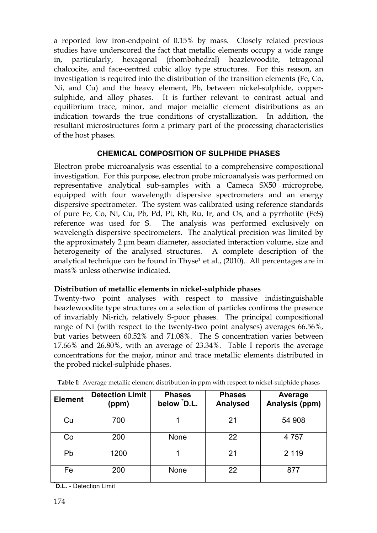a reported low iron-endpoint of 0.15% by mass. Closely related previous studies have underscored the fact that metallic elements occupy a wide range in, particularly, hexagonal (rhombohedral) heazlewoodite, tetragonal chalcocite, and face-centred cubic alloy type structures. For this reason, an investigation is required into the distribution of the transition elements (Fe, Co, Ni, and Cu) and the heavy element, Pb, between nickel-sulphide, coppersulphide, and alloy phases. It is further relevant to contrast actual and equilibrium trace, minor, and major metallic element distributions as an indication towards the true conditions of crystallization. In addition, the resultant microstructures form a primary part of the processing characteristics of the host phases.

# **CHEMICAL COMPOSITION OF SULPHIDE PHASES**

Electron probe microanalysis was essential to a comprehensive compositional investigation. For this purpose, electron probe microanalysis was performed on representative analytical sub-samples with a Cameca SX50 microprobe, equipped with four wavelength dispersive spectrometers and an energy dispersive spectrometer. The system was calibrated using reference standards of pure Fe, Co, Ni, Cu, Pb, Pd, Pt, Rh, Ru, Ir, and Os, and a pyrrhotite (FeS) reference was used for S. The analysis was performed exclusively on wavelength dispersive spectrometers. The analytical precision was limited by the approximately 2 μm beam diameter, associated interaction volume, size and heterogeneity of the analysed structures. A complete description of the analytical technique can be found in Thyse**<sup>1</sup>** et al., (2010). All percentages are in mass% unless otherwise indicated.

# **Distribution of metallic elements in nickel-sulphide phases**

Twenty-two point analyses with respect to massive indistinguishable heazlewoodite type structures on a selection of particles confirms the presence of invariably Ni-rich, relatively S-poor phases. The principal compositional range of Ni (with respect to the twenty-two point analyses) averages 66.56%, but varies between 60.52% and 71.08%. The S concentration varies between 17.66% and 26.80%, with an average of 23.34%. Table І reports the average concentrations for the major, minor and trace metallic elements distributed in the probed nickel-sulphide phases.

| <b>Element</b> | <b>Detection Limit</b><br>(ppm) | <b>Phases</b><br>below D.L. | <b>Phases</b><br><b>Analysed</b> | Average<br>Analysis (ppm) |
|----------------|---------------------------------|-----------------------------|----------------------------------|---------------------------|
| Cu             | 700                             |                             | 21                               | 54 908                    |
| Co             | 200                             | None                        | 22                               | 4 7 5 7                   |
| Pb             | 1200                            |                             | 21                               | 2 1 1 9                   |
| Fe             | 200                             | <b>None</b>                 | 22                               | 877                       |

**Table I:** Average metallic element distribution in ppm with respect to nickel-sulphide phases

**\*D.L.** - Detection Limit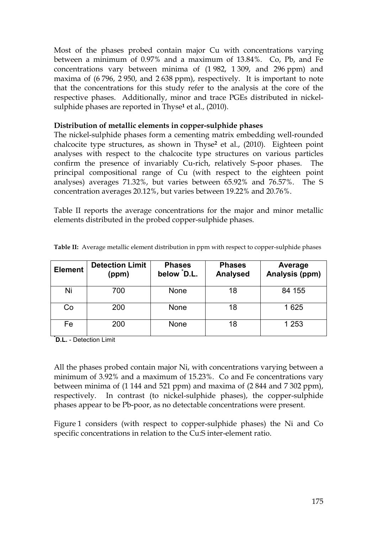Most of the phases probed contain major Cu with concentrations varying between a minimum of 0.97% and a maximum of 13.84%. Co, Pb, and Fe concentrations vary between minima of (1 982, 1 309, and 296 ppm) and maxima of (6 796, 2 950, and 2 638 ppm), respectively. It is important to note that the concentrations for this study refer to the analysis at the core of the respective phases. Additionally, minor and trace PGEs distributed in nickelsulphide phases are reported in Thyse**<sup>1</sup>** et al., (2010).

# **Distribution of metallic elements in copper-sulphide phases**

The nickel-sulphide phases form a cementing matrix embedding well-rounded chalcocite type structures, as shown in Thyse**<sup>2</sup>** et al., (2010). Eighteen point analyses with respect to the chalcocite type structures on various particles confirm the presence of invariably Cu-rich, relatively S-poor phases. The principal compositional range of Cu (with respect to the eighteen point analyses) averages 71.32%, but varies between 65.92% and 76.57%. The S concentration averages 20.12%, but varies between 19.22% and 20.76%.

Table II reports the average concentrations for the major and minor metallic elements distributed in the probed copper-sulphide phases.

| <b>Element</b> | <b>Detection Limit</b><br>(ppm) | <b>Phases</b><br>below D.L. | <b>Phases</b><br><b>Analysed</b> | Average<br>Analysis (ppm) |
|----------------|---------------------------------|-----------------------------|----------------------------------|---------------------------|
| Ni             | 700                             | <b>None</b>                 | 18                               | 84 155                    |
| Co             | 200                             | <b>None</b>                 | 18                               | 1625                      |
| Fe             | 200                             | <b>None</b>                 | 18                               | 1 2 5 3                   |

**Table II:** Average metallic element distribution in ppm with respect to copper-sulphide phases

**\*D.L.** - Detection Limit

All the phases probed contain major Ni, with concentrations varying between a minimum of 3.92% and a maximum of 15.23%. Co and Fe concentrations vary between minima of (1 144 and 521 ppm) and maxima of (2 844 and 7 302 ppm), respectively. In contrast (to nickel-sulphide phases), the copper-sulphide phases appear to be Pb-poor, as no detectable concentrations were present.

Figure 1 considers (with respect to copper-sulphide phases) the Ni and Co specific concentrations in relation to the Cu:S inter-element ratio.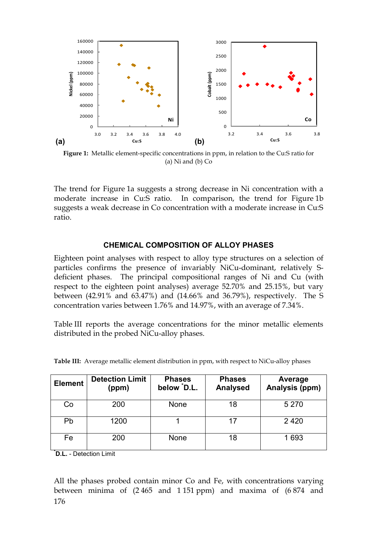

**Figure 1:** Metallic element-specific concentrations in ppm, in relation to the Cu:S ratio for (a) Ni and (b) Co

The trend for Figure 1a suggests a strong decrease in Ni concentration with a moderate increase in Cu:S ratio. In comparison, the trend for Figure 1b suggests a weak decrease in Co concentration with a moderate increase in Cu:S ratio.

# **CHEMICAL COMPOSITION OF ALLOY PHASES**

Eighteen point analyses with respect to alloy type structures on a selection of particles confirms the presence of invariably NiCu-dominant, relatively Sdeficient phases. The principal compositional ranges of Ni and Cu (with respect to the eighteen point analyses) average 52.70% and 25.15%, but vary between (42.91% and 63.47%) and (14.66% and 36.79%), respectively. The S concentration varies between 1.76% and 14.97%, with an average of 7.34%.

Table III reports the average concentrations for the minor metallic elements distributed in the probed NiCu-alloy phases.

| <b>Element</b> | <b>Detection Limit</b><br>(ppm) | <b>Phases</b><br>below D.L. | <b>Phases</b><br><b>Analysed</b> | Average<br>Analysis (ppm) |
|----------------|---------------------------------|-----------------------------|----------------------------------|---------------------------|
| Co             | 200                             | <b>None</b>                 | 18                               | 5 2 7 0                   |
| Pb             | 1200                            |                             | 17                               | 2420                      |
| Fe             | 200                             | <b>None</b>                 | 18                               | 1693                      |

**Table III:** Average metallic element distribution in ppm, with respect to NiCu-alloy phases

**\*D.L.** - Detection Limit

176 All the phases probed contain minor Co and Fe, with concentrations varying between minima of (2 465 and 1 151 ppm) and maxima of (6 874 and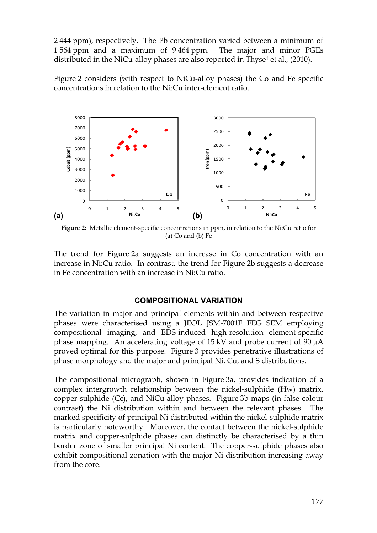2 444 ppm), respectively. The Pb concentration varied between a minimum of 1 564 ppm and a maximum of 9 464 ppm. The major and minor PGEs distributed in the NiCu-alloy phases are also reported in Thyse**1** et al., (2010).

Figure 2 considers (with respect to NiCu-alloy phases) the Co and Fe specific concentrations in relation to the Ni:Cu inter-element ratio.



**Figure 2:** Metallic element-specific concentrations in ppm, in relation to the Ni:Cu ratio for (a) Co and (b) Fe

The trend for Figure 2a suggests an increase in Co concentration with an increase in Ni:Cu ratio. In contrast, the trend for Figure 2b suggests a decrease in Fe concentration with an increase in Ni:Cu ratio.

### **COMPOSITIONAL VARIATION**

The variation in major and principal elements within and between respective phases were characterised using a JEOL JSM-7001F FEG SEM employing compositional imaging, and EDS-induced high-resolution element-specific phase mapping. An accelerating voltage of 15 kV and probe current of 90 µA proved optimal for this purpose. Figure 3 provides penetrative illustrations of phase morphology and the major and principal Ni, Cu, and S distributions.

The compositional micrograph, shown in Figure 3a, provides indication of a complex intergrowth relationship between the nickel-sulphide (Hw) matrix, copper-sulphide (Cc), and NiCu-alloy phases. Figure 3b maps (in false colour contrast) the Ni distribution within and between the relevant phases. The marked specificity of principal Ni distributed within the nickel-sulphide matrix is particularly noteworthy. Moreover, the contact between the nickel-sulphide matrix and copper-sulphide phases can distinctly be characterised by a thin border zone of smaller principal Ni content. The copper-sulphide phases also exhibit compositional zonation with the major Ni distribution increasing away from the core.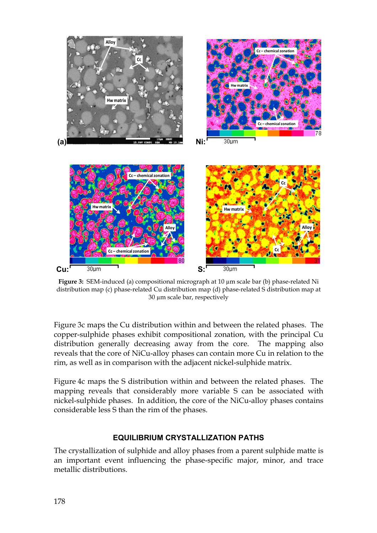

**Figure 3:** SEM-induced (a) compositional micrograph at 10 µm scale bar (b) phase-related Ni distribution map (c) phase-related Cu distribution map (d) phase-related S distribution map at 30 µm scale bar, respectively

Figure 3c maps the Cu distribution within and between the related phases. The copper-sulphide phases exhibit compositional zonation, with the principal Cu distribution generally decreasing away from the core. The mapping also reveals that the core of NiCu-alloy phases can contain more Cu in relation to the rim, as well as in comparison with the adjacent nickel-sulphide matrix.

Figure 4c maps the S distribution within and between the related phases. The mapping reveals that considerably more variable S can be associated with nickel-sulphide phases. In addition, the core of the NiCu-alloy phases contains considerable less S than the rim of the phases.

### **EQUILIBRIUM CRYSTALLIZATION PATHS**

The crystallization of sulphide and alloy phases from a parent sulphide matte is an important event influencing the phase-specific major, minor, and trace metallic distributions.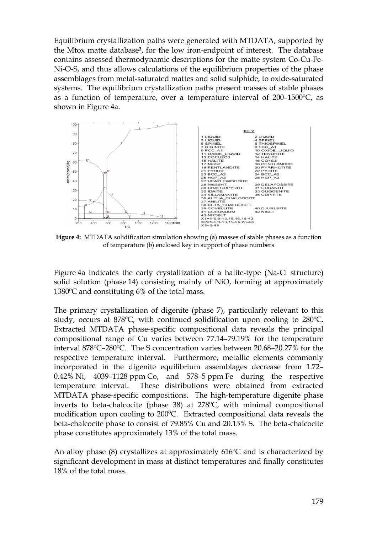Equilibrium crystallization paths were generated with MTDATA, supported by the Mtox matte database**3**, for the low iron-endpoint of interest. The database contains assessed thermodynamic descriptions for the matte system Co-Cu-Fe-Ni-O-S, and thus allows calculations of the equilibrium properties of the phase assemblages from metal-saturated mattes and solid sulphide, to oxide-saturated systems. The equilibrium crystallization paths present masses of stable phases as a function of temperature, over a temperature interval of 200–1500ºC, as shown in Figure 4a.



**Figure 4:** MTDATA solidification simulation showing (a) masses of stable phases as a function of temperature (b) enclosed key in support of phase numbers

Figure 4a indicates the early crystallization of a halite-type (Na-Cl structure) solid solution (phase 14) consisting mainly of NiO, forming at approximately 1380ºC and constituting 6% of the total mass.

The primary crystallization of digenite (phase 7), particularly relevant to this study, occurs at 878ºC, with continued solidification upon cooling to 280ºC. Extracted MTDATA phase-specific compositional data reveals the principal compositional range of Cu varies between 77.14–79.19% for the temperature interval 878ºC–280ºC. The S concentration varies between 20.68–20.27% for the respective temperature interval. Furthermore, metallic elements commonly incorporated in the digenite equilibrium assemblages decrease from 1.72– 0.42% Ni, 4039–1128 ppm Co, and 578–5 ppm Fe during the respective temperature interval. These distributions were obtained from extracted MTDATA phase-specific compositions. The high-temperature digenite phase inverts to beta-chalcocite (phase 38) at 278ºC, with minimal compositional modification upon cooling to 200ºC. Extracted compositional data reveals the beta-chalcocite phase to consist of 79.85% Cu and 20.15% S. The beta-chalcocite phase constitutes approximately 13% of the total mass.

An alloy phase (8) crystallizes at approximately 616ºC and is characterized by significant development in mass at distinct temperatures and finally constitutes 18% of the total mass.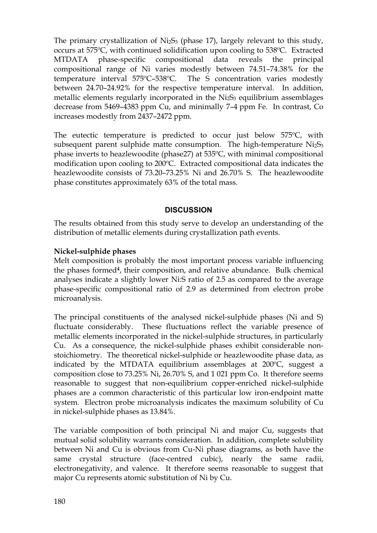The primary crystallization of  $NizS<sub>3</sub>$  (phase 17), largely relevant to this study, occurs at 575ºC, with continued solidification upon cooling to 538ºC. Extracted MTDATA phase-specific compositional data reveals the principal compositional range of Ni varies modestly between 74.51–74.38% for the temperature interval 575ºC–538ºC. The S concentration varies modestly between 24.70–24.92% for the respective temperature interval. In addition, metallic elements regularly incorporated in the  $NizS<sub>3</sub>$  equilibrium assemblages decrease from 5469–4383 ppm Cu, and minimally 7–4 ppm Fe. In contrast, Co increases modestly from 2437–2472 ppm.

The eutectic temperature is predicted to occur just below 575ºC, with subsequent parent sulphide matte consumption. The high-temperature  $NizS<sub>3</sub>$ phase inverts to heazlewoodite (phase27) at 535ºC, with minimal compositional modification upon cooling to 200ºC. Extracted compositional data indicates the heazlewoodite consists of 73.20–73.25% Ni and 26.70% S. The heazlewoodite phase constitutes approximately 63% of the total mass.

# **DISCUSSION**

The results obtained from this study serve to develop an understanding of the distribution of metallic elements during crystallization path events.

# **Nickel-sulphide phases**

Melt composition is probably the most important process variable influencing the phases formed**4**, their composition, and relative abundance. Bulk chemical analyses indicate a slightly lower Ni:S ratio of 2.5 as compared to the average phase-specific compositional ratio of 2.9 as determined from electron probe microanalysis.

The principal constituents of the analysed nickel-sulphide phases (Ni and S) fluctuate considerably. These fluctuations reflect the variable presence of metallic elements incorporated in the nickel-sulphide structures, in particularly Cu. As a consequence, the nickel-sulphide phases exhibit considerable nonstoichiometry. The theoretical nickel-sulphide or heazlewoodite phase data, as indicated by the MTDATA equilibrium assemblages at 200ºC, suggest a composition close to 73.25% Ni, 26.70% S, and 1 021 ppm Co. It therefore seems reasonable to suggest that non-equilibrium copper-enriched nickel-sulphide phases are a common characteristic of this particular low iron-endpoint matte system. Electron probe microanalysis indicates the maximum solubility of Cu in nickel-sulphide phases as 13.84%.

The variable composition of both principal Ni and major Cu, suggests that mutual solid solubility warrants consideration. In addition, complete solubility between Ni and Cu is obvious from Cu-Ni phase diagrams, as both have the same crystal structure (face-centred cubic), nearly the same radii, electronegativity, and valence. It therefore seems reasonable to suggest that major Cu represents atomic substitution of Ni by Cu.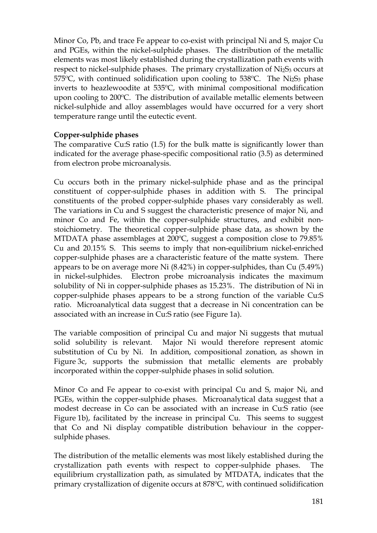Minor Co, Pb, and trace Fe appear to co-exist with principal Ni and S, major Cu and PGEs, within the nickel-sulphide phases. The distribution of the metallic elements was most likely established during the crystallization path events with respect to nickel-sulphide phases. The primary crystallization of  $Ni<sub>2</sub>S<sub>3</sub>$  occurs at 575 $^{\circ}$ C, with continued solidification upon cooling to 538 $^{\circ}$ C. The Ni<sub>2</sub>S<sub>3</sub> phase inverts to heazlewoodite at 535ºC, with minimal compositional modification upon cooling to 200ºC. The distribution of available metallic elements between nickel-sulphide and alloy assemblages would have occurred for a very short temperature range until the eutectic event.

# **Copper-sulphide phases**

The comparative Cu:S ratio (1.5) for the bulk matte is significantly lower than indicated for the average phase-specific compositional ratio (3.5) as determined from electron probe microanalysis.

Cu occurs both in the primary nickel-sulphide phase and as the principal constituent of copper-sulphide phases in addition with S. The principal constituents of the probed copper-sulphide phases vary considerably as well. The variations in Cu and S suggest the characteristic presence of major Ni, and minor Co and Fe, within the copper-sulphide structures, and exhibit nonstoichiometry. The theoretical copper-sulphide phase data, as shown by the MTDATA phase assemblages at 200ºC, suggest a composition close to 79.85% Cu and 20.15% S. This seems to imply that non-equilibrium nickel-enriched copper-sulphide phases are a characteristic feature of the matte system. There appears to be on average more Ni (8.42%) in copper-sulphides, than Cu (5.49%) in nickel-sulphides. Electron probe microanalysis indicates the maximum solubility of Ni in copper-sulphide phases as 15.23%. The distribution of Ni in copper-sulphide phases appears to be a strong function of the variable Cu:S ratio. Microanalytical data suggest that a decrease in Ni concentration can be associated with an increase in Cu:S ratio (see Figure 1a).

The variable composition of principal Cu and major Ni suggests that mutual solid solubility is relevant. Major Ni would therefore represent atomic substitution of Cu by Ni. In addition, compositional zonation, as shown in Figure 3c, supports the submission that metallic elements are probably incorporated within the copper-sulphide phases in solid solution.

Minor Co and Fe appear to co-exist with principal Cu and S, major Ni, and PGEs, within the copper-sulphide phases. Microanalytical data suggest that a modest decrease in Co can be associated with an increase in Cu:S ratio (see Figure 1b), facilitated by the increase in principal Cu. This seems to suggest that Co and Ni display compatible distribution behaviour in the coppersulphide phases.

The distribution of the metallic elements was most likely established during the crystallization path events with respect to copper-sulphide phases. The equilibrium crystallization path, as simulated by MTDATA, indicates that the primary crystallization of digenite occurs at 878ºC, with continued solidification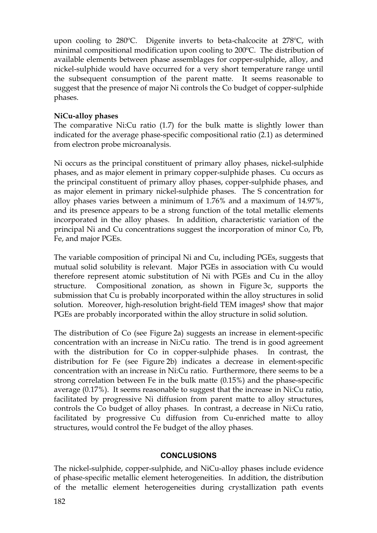upon cooling to 280ºC. Digenite inverts to beta-chalcocite at 278ºC, with minimal compositional modification upon cooling to 200ºC. The distribution of available elements between phase assemblages for copper-sulphide, alloy, and nickel-sulphide would have occurred for a very short temperature range until the subsequent consumption of the parent matte. It seems reasonable to suggest that the presence of major Ni controls the Co budget of copper-sulphide phases.

# **NiCu-alloy phases**

The comparative Ni:Cu ratio (1.7) for the bulk matte is slightly lower than indicated for the average phase-specific compositional ratio (2.1) as determined from electron probe microanalysis.

Ni occurs as the principal constituent of primary alloy phases, nickel-sulphide phases, and as major element in primary copper-sulphide phases. Cu occurs as the principal constituent of primary alloy phases, copper-sulphide phases, and as major element in primary nickel-sulphide phases. The S concentration for alloy phases varies between a minimum of 1.76% and a maximum of 14.97%, and its presence appears to be a strong function of the total metallic elements incorporated in the alloy phases. In addition, characteristic variation of the principal Ni and Cu concentrations suggest the incorporation of minor Co, Pb, Fe, and major PGEs.

The variable composition of principal Ni and Cu, including PGEs, suggests that mutual solid solubility is relevant. Major PGEs in association with Cu would therefore represent atomic substitution of Ni with PGEs and Cu in the alloy structure. Compositional zonation, as shown in Figure 3c, supports the submission that Cu is probably incorporated within the alloy structures in solid solution. Moreover, high-resolution bright-field TEM images**<sup>1</sup>** show that major PGEs are probably incorporated within the alloy structure in solid solution.

The distribution of Co (see Figure 2a) suggests an increase in element-specific concentration with an increase in Ni:Cu ratio. The trend is in good agreement with the distribution for Co in copper-sulphide phases. In contrast, the distribution for Fe (see Figure 2b) indicates a decrease in element-specific concentration with an increase in Ni:Cu ratio. Furthermore, there seems to be a strong correlation between Fe in the bulk matte (0.15%) and the phase-specific average (0.17%). It seems reasonable to suggest that the increase in Ni:Cu ratio, facilitated by progressive Ni diffusion from parent matte to alloy structures, controls the Co budget of alloy phases. In contrast, a decrease in Ni:Cu ratio, facilitated by progressive Cu diffusion from Cu-enriched matte to alloy structures, would control the Fe budget of the alloy phases.

### **CONCLUSIONS**

The nickel-sulphide, copper-sulphide, and NiCu-alloy phases include evidence of phase-specific metallic element heterogeneities. In addition, the distribution of the metallic element heterogeneities during crystallization path events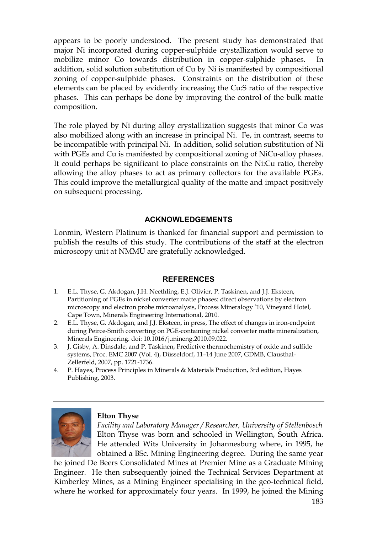appears to be poorly understood. The present study has demonstrated that major Ni incorporated during copper-sulphide crystallization would serve to mobilize minor Co towards distribution in copper-sulphide phases. In addition, solid solution substitution of Cu by Ni is manifested by compositional zoning of copper-sulphide phases. Constraints on the distribution of these elements can be placed by evidently increasing the Cu:S ratio of the respective phases. This can perhaps be done by improving the control of the bulk matte composition.

The role played by Ni during alloy crystallization suggests that minor Co was also mobilized along with an increase in principal Ni. Fe, in contrast, seems to be incompatible with principal Ni. In addition, solid solution substitution of Ni with PGEs and Cu is manifested by compositional zoning of NiCu-alloy phases. It could perhaps be significant to place constraints on the Ni:Cu ratio, thereby allowing the alloy phases to act as primary collectors for the available PGEs. This could improve the metallurgical quality of the matte and impact positively on subsequent processing.

# **ACKNOWLEDGEMENTS**

Lonmin, Western Platinum is thanked for financial support and permission to publish the results of this study. The contributions of the staff at the electron microscopy unit at NMMU are gratefully acknowledged.

### **REFERENCES**

- 1. E.L. Thyse, G. Akdogan, J.H. Neethling, E.J. Olivier, P. Taskinen, and J.J. Eksteen, Partitioning of PGEs in nickel converter matte phases: direct observations by electron microscopy and electron probe microanalysis, Process Mineralogy '10, Vineyard Hotel, Cape Town, Minerals Engineering International, 2010.
- 2. E.L. Thyse, G. Akdogan, and J.J. Eksteen, in press, The effect of changes in iron-endpoint during Peirce-Smith converting on PGE-containing nickel converter matte mineralization, Minerals Engineering. doi: 10.1016/j.mineng.2010.09.022.
- 3. J. Gisby, A. Dinsdale, and P. Taskinen, Predictive thermochemistry of oxide and sulfide systems, Proc. EMC 2007 (Vol. 4), Düsseldorf, 11–14 June 2007, GDMB, Clausthal-Zellerfeld, 2007, pp. 1721-1736.
- 4. P. Hayes, Process Principles in Minerals & Materials Production, 3rd edition, Hayes Publishing, 2003.



#### **Elton Thyse**

*Facility and Laboratory Manager / Researcher, University of Stellenbosch*  Elton Thyse was born and schooled in Wellington, South Africa. He attended Wits University in Johannesburg where, in 1995, he obtained a BSc. Mining Engineering degree. During the same year

he joined De Beers Consolidated Mines at Premier Mine as a Graduate Mining Engineer. He then subsequently joined the Technical Services Department at Kimberley Mines, as a Mining Engineer specialising in the geo-technical field, where he worked for approximately four years. In 1999, he joined the Mining